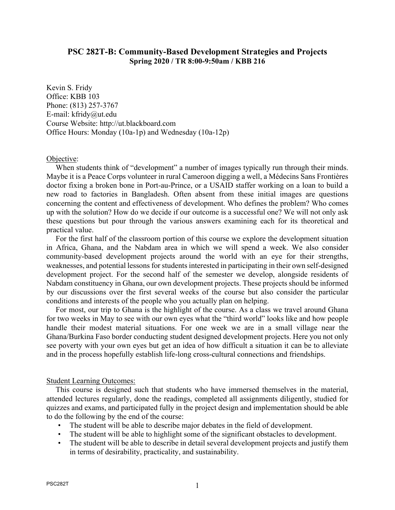# **PSC 282T-B: Community-Based Development Strategies and Projects Spring 2020 / TR 8:00-9:50am / KBB 216**

Kevin S. Fridy Office: KBB 103 Phone: (813) 257-3767 E-mail: kfridy@ut.edu Course Website: http://ut.blackboard.com Office Hours: Monday (10a-1p) and Wednesday (10a-12p)

#### Objective:

When students think of "development" a number of images typically run through their minds. Maybe it is a Peace Corps volunteer in rural Cameroon digging a well, a Médecins Sans Frontières doctor fixing a broken bone in Port-au-Prince, or a USAID staffer working on a loan to build a new road to factories in Bangladesh. Often absent from these initial images are questions concerning the content and effectiveness of development. Who defines the problem? Who comes up with the solution? How do we decide if our outcome is a successful one? We will not only ask these questions but pour through the various answers examining each for its theoretical and practical value.

For the first half of the classroom portion of this course we explore the development situation in Africa, Ghana, and the Nabdam area in which we will spend a week. We also consider community-based development projects around the world with an eye for their strengths, weaknesses, and potential lessons for students interested in participating in their own self-designed development project. For the second half of the semester we develop, alongside residents of Nabdam constituency in Ghana, our own development projects. These projects should be informed by our discussions over the first several weeks of the course but also consider the particular conditions and interests of the people who you actually plan on helping.

For most, our trip to Ghana is the highlight of the course. As a class we travel around Ghana for two weeks in May to see with our own eyes what the "third world" looks like and how people handle their modest material situations. For one week we are in a small village near the Ghana/Burkina Faso border conducting student designed development projects. Here you not only see poverty with your own eyes but get an idea of how difficult a situation it can be to alleviate and in the process hopefully establish life-long cross-cultural connections and friendships.

#### Student Learning Outcomes:

This course is designed such that students who have immersed themselves in the material, attended lectures regularly, done the readings, completed all assignments diligently, studied for quizzes and exams, and participated fully in the project design and implementation should be able to do the following by the end of the course:

- The student will be able to describe major debates in the field of development.
- The student will be able to highlight some of the significant obstacles to development.
- The student will be able to describe in detail several development projects and justify them in terms of desirability, practicality, and sustainability.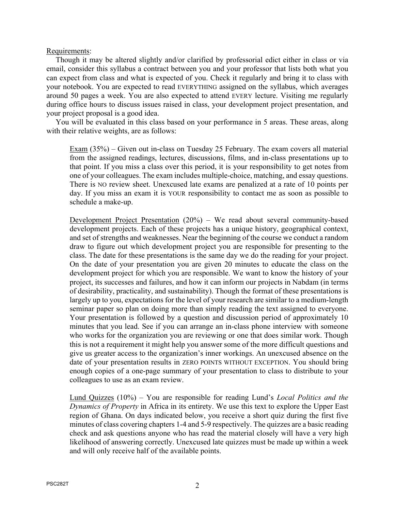### Requirements:

Though it may be altered slightly and/or clarified by professorial edict either in class or via email, consider this syllabus a contract between you and your professor that lists both what you can expect from class and what is expected of you. Check it regularly and bring it to class with your notebook. You are expected to read EVERYTHING assigned on the syllabus, which averages around 50 pages a week. You are also expected to attend EVERY lecture. Visiting me regularly during office hours to discuss issues raised in class, your development project presentation, and your project proposal is a good idea.

You will be evaluated in this class based on your performance in 5 areas. These areas, along with their relative weights, are as follows:

Exam (35%) – Given out in-class on Tuesday 25 February. The exam covers all material from the assigned readings, lectures, discussions, films, and in-class presentations up to that point. If you miss a class over this period, it is your responsibility to get notes from one of your colleagues. The exam includes multiple-choice, matching, and essay questions. There is NO review sheet. Unexcused late exams are penalized at a rate of 10 points per day. If you miss an exam it is YOUR responsibility to contact me as soon as possible to schedule a make-up.

Development Project Presentation (20%) – We read about several community-based development projects. Each of these projects has a unique history, geographical context, and set of strengths and weaknesses. Near the beginning of the course we conduct a random draw to figure out which development project you are responsible for presenting to the class. The date for these presentations is the same day we do the reading for your project. On the date of your presentation you are given 20 minutes to educate the class on the development project for which you are responsible. We want to know the history of your project, its successes and failures, and how it can inform our projects in Nabdam (in terms of desirability, practicality, and sustainability). Though the format of these presentations is largely up to you, expectations for the level of your research are similar to a medium-length seminar paper so plan on doing more than simply reading the text assigned to everyone. Your presentation is followed by a question and discussion period of approximately 10 minutes that you lead. See if you can arrange an in-class phone interview with someone who works for the organization you are reviewing or one that does similar work. Though this is not a requirement it might help you answer some of the more difficult questions and give us greater access to the organization's inner workings. An unexcused absence on the date of your presentation results in ZERO POINTS WITHOUT EXCEPTION. You should bring enough copies of a one-page summary of your presentation to class to distribute to your colleagues to use as an exam review.

Lund Quizzes (10%) – You are responsible for reading Lund's *Local Politics and the Dynamics of Property* in Africa in its entirety. We use this text to explore the Upper East region of Ghana. On days indicated below, you receive a short quiz during the first five minutes of class covering chapters 1-4 and 5-9 respectively. The quizzes are a basic reading check and ask questions anyone who has read the material closely will have a very high likelihood of answering correctly. Unexcused late quizzes must be made up within a week and will only receive half of the available points.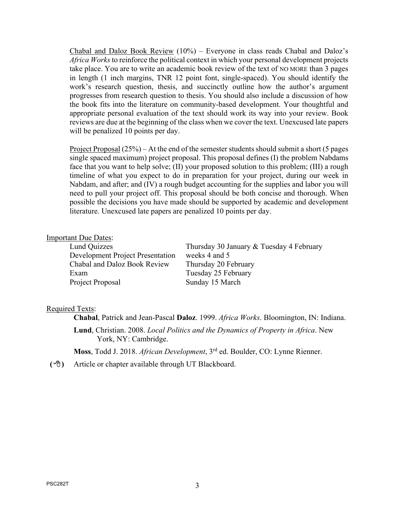Chabal and Daloz Book Review (10%) – Everyone in class reads Chabal and Daloz's *Africa Works* to reinforce the political context in which your personal development projects take place. You are to write an academic book review of the text of NO MORE than 3 pages in length (1 inch margins, TNR 12 point font, single-spaced). You should identify the work's research question, thesis, and succinctly outline how the author's argument progresses from research question to thesis. You should also include a discussion of how the book fits into the literature on community-based development. Your thoughtful and appropriate personal evaluation of the text should work its way into your review. Book reviews are due at the beginning of the class when we cover the text. Unexcused late papers will be penalized 10 points per day.

Project Proposal (25%) – At the end of the semester students should submit a short (5 pages single spaced maximum) project proposal. This proposal defines (I) the problem Nabdams face that you want to help solve; (II) your proposed solution to this problem; (III) a rough timeline of what you expect to do in preparation for your project, during our week in Nabdam, and after; and (IV) a rough budget accounting for the supplies and labor you will need to pull your project off. This proposal should be both concise and thorough. When possible the decisions you have made should be supported by academic and development literature. Unexcused late papers are penalized 10 points per day.

#### Important Due Dates:

Development Project Presentation weeks 4 and 5 Chabal and Daloz Book Review Thursday 20 February Exam Tuesday 25 February Project Proposal Sunday 15 March

Lund Quizzes Thursday 30 January & Tuesday 4 February

#### Required Texts:

**Chabal**, Patrick and Jean-Pascal **Daloz**. 1999. *Africa Works*. Bloomington, IN: Indiana.

**Lund**, Christian. 2008. *Local Politics and the Dynamics of Property in Africa*. New York, NY: Cambridge.

**Moss**, Todd J. 2018. *African Development*, 3rd ed. Boulder, CO: Lynne Rienner.

**()** Article or chapter available through UT Blackboard.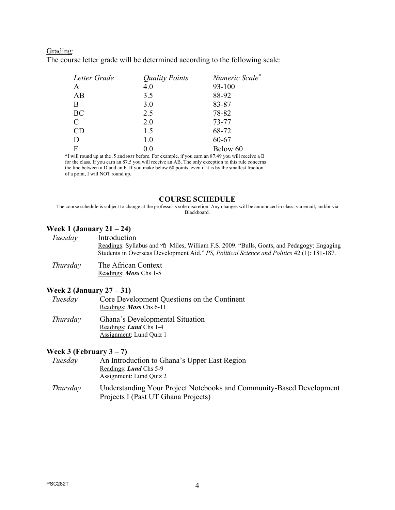# Grading:

The course letter grade will be determined according to the following scale:

| Letter Grade  | <b>Quality Points</b> | Numeric Scale* |
|---------------|-----------------------|----------------|
| A             | 4.0                   | 93-100         |
| AB            | 3.5                   | 88-92          |
| B             | 3.0                   | 83-87          |
| BC            | 2.5                   | 78-82          |
| $\mathcal{C}$ | 2.0                   | 73-77          |
| CD            | 1.5                   | 68-72          |
| D             | 1.0                   | $60 - 67$      |
| F             | $0.0\,$               | Below 60       |

\*I will round up at the .5 and NOT before. For example, if you earn an 87.49 you will receive a B for the class. If you earn an 87.5 you will receive an AB. The only exception to this rule concerns the line between a D and an F. If you make below 60 points, even if it is by the smallest fraction of a point, I will NOT round up.

#### **COURSE SCHEDULE**

The course schedule is subject to change at the professor's sole discretion. Any changes will be announced in class, via email, and/or via Blackboard.

# **Week 1 (January 21 – 24)**

| Tuesday  | Introduction<br>Readings: Syllabus and <sup><math>\Phi</math></sup> Miles, William F.S. 2009. "Bulls, Goats, and Pedagogy: Engaging<br>Students in Overseas Development Aid." <i>PS, Political Science and Politics</i> 42 (1): 181-187. |
|----------|------------------------------------------------------------------------------------------------------------------------------------------------------------------------------------------------------------------------------------------|
| Thursday | The African Context<br>Readings: <i>Moss</i> Chs 1-5                                                                                                                                                                                     |

# **Week 2 (January 27 – 31)**

| Tuesday  | Core Development Questions on the Continent<br>Readings: Moss Chs 6-11                      |
|----------|---------------------------------------------------------------------------------------------|
| Thursday | Ghana's Developmental Situation<br>Readings: <i>Lund</i> Chs 1-4<br>Assignment: Lund Quiz 1 |

# **Week 3 (February 3 – 7)**

| Tuesday  | An Introduction to Ghana's Upper East Region                                                                |  |  |
|----------|-------------------------------------------------------------------------------------------------------------|--|--|
|          | Readings: <i>Lund</i> Chs 5-9                                                                               |  |  |
|          | Assignment: Lund Quiz 2                                                                                     |  |  |
| Thursday | Understanding Your Project Notebooks and Community-Based Development<br>Projects I (Past UT Ghana Projects) |  |  |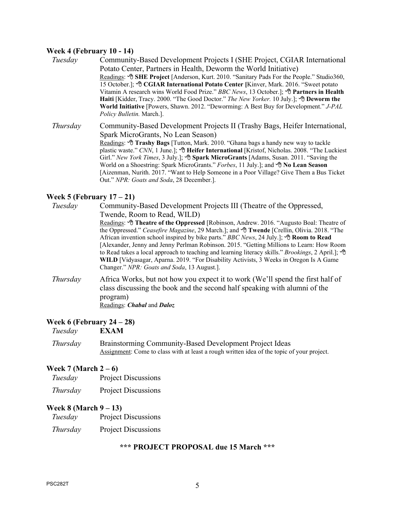## **Week 4 (February 10 - 14)**

 *Tuesday* Community-Based Development Projects I (SHE Project, CGIAR International Potato Center, Partners in Health, Deworm the World Initiative) Readings: <sup>**& SHE Project** [Anderson, Kurt. 2010. "Sanitary Pads For the People." Studio360,</sup> 15 October.]; **CGIAR International Potato Center [**Kinver, Mark. 2016. "Sweet potato Vitamin A research wins World Food Prize." *BBC News*, 13 October.]; **Partners in Health**  Haiti [Kidder, Tracy. 2000. "The Good Doctor." *The New Yorker*. 10 July.]; <sup>4</sup>D Deworm the **World Initiative** [Powers, Shawn. 2012. "Deworming: A Best Buy for Development." *J-PAL Policy Bulletin.* March.].

 *Thursday* Community-Based Development Projects II (Trashy Bags, Heifer International, Spark MicroGrants, No Lean Season) Readings: **Trashy Bags** [Tutton, Mark. 2010. "Ghana bags a handy new way to tackle plastic waste." *CNN*, 1 June.]; **Heifer International** [Kristof, Nicholas. 2008. "The Luckiest Girl." *New York Times*, 3 July.]; **Spark MicroGrants** [Adams, Susan. 2011. "Saving the World on a Shoestring: Spark MicroGrants." *Forbes*, 11 July.]; and  $\Phi$  **No Lean Season** [Aizenman, Nurith. 2017. "Want to Help Someone in a Poor Village? Give Them a Bus Ticket Out." *NPR: Goats and Soda*, 28 December.].

## **Week 5 (February 17 – 21)**

- *Tuesday* Community-Based Development Projects III (Theatre of the Oppressed, Twende, Room to Read, WILD) Readings: **Theatre of the Oppressed** [Robinson, Andrew. 2016. "Augusto Boal: Theatre of the Oppressed." *Ceasefire Magazine*, 29 March.]; and **Twende** [Crellin, Olivia. 2018. "The African invention school inspired by bike parts." *BBC News*, 24 July.]; **Room to Read** [Alexander, Jenny and Jenny Perlman Robinson. 2015. "Getting Millions to Learn: How Room to Read takes a local approach to teaching and learning literacy skills." *Brookings*, 2 April.]; **WILD** [Vidyasagar, Aparna. 2019. "For Disability Activists, 3 Weeks in Oregon Is A Game Changer." *NPR: Goats and Soda*, 13 August.].  *Thursday* Africa Works, but not how you expect it to work (We'll spend the first half of
- class discussing the book and the second half speaking with alumni of the program) Readings: *Chabal* and *Daloz*

## **Week 6 (February 24 – 28)**

| Tuesdav | <b>EXAM</b> |
|---------|-------------|
|---------|-------------|

 *Thursday* Brainstorming Community-Based Development Project Ideas Assignment: Come to class with at least a rough written idea of the topic of your project.

## **Week 7 (March 2 – 6)**

- *Tuesday* Project Discussions
- *Thursday* Project Discussions

#### **Week 8 (March 9 – 13)**

- *Tuesday* Project Discussions
- *Thursday* Project Discussions

#### **\*\*\* PROJECT PROPOSAL due 15 March \*\*\***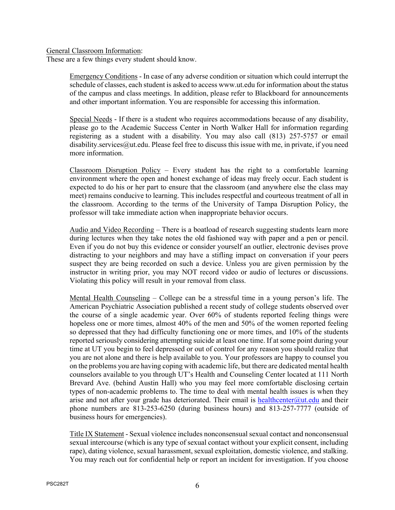General Classroom Information:

These are a few things every student should know.

Emergency Conditions - In case of any adverse condition or situation which could interrupt the schedule of classes, each student is asked to access www.ut.edu for information about the status of the campus and class meetings. In addition, please refer to Blackboard for announcements and other important information. You are responsible for accessing this information.

Special Needs - If there is a student who requires accommodations because of any disability, please go to the Academic Success Center in North Walker Hall for information regarding registering as a student with a disability. You may also call (813) 257-5757 or email disability.services@ut.edu. Please feel free to discuss this issue with me, in private, if you need more information.

 $\frac{\text{Classification Policy}}{\text{Polve}}$  – Every student has the right to a comfortable learning environment where the open and honest exchange of ideas may freely occur. Each student is expected to do his or her part to ensure that the classroom (and anywhere else the class may meet) remains conducive to learning. This includes respectful and courteous treatment of all in the classroom. According to the terms of the University of Tampa Disruption Policy, the professor will take immediate action when inappropriate behavior occurs.

Audio and Video Recording – There is a boatload of research suggesting students learn more during lectures when they take notes the old fashioned way with paper and a pen or pencil. Even if you do not buy this evidence or consider yourself an outlier, electronic devises prove distracting to your neighbors and may have a stifling impact on conversation if your peers suspect they are being recorded on such a device. Unless you are given permission by the instructor in writing prior, you may NOT record video or audio of lectures or discussions. Violating this policy will result in your removal from class.

Mental Health Counseling – College can be a stressful time in a young person's life. The American Psychiatric Association published a recent study of college students observed over the course of a single academic year. Over 60% of students reported feeling things were hopeless one or more times, almost 40% of the men and 50% of the women reported feeling so depressed that they had difficulty functioning one or more times, and 10% of the students reported seriously considering attempting suicide at least one time. If at some point during your time at UT you begin to feel depressed or out of control for any reason you should realize that you are not alone and there is help available to you. Your professors are happy to counsel you on the problems you are having coping with academic life, but there are dedicated mental health counselors available to you through UT's Health and Counseling Center located at 111 North Brevard Ave. (behind Austin Hall) who you may feel more comfortable disclosing certain types of non-academic problems to. The time to deal with mental health issues is when they arise and not after your grade has deteriorated. Their email is  $\frac{healtheenter@ut.edu}{du}$  and their phone numbers are 813-253-6250 (during business hours) and 813-257-7777 (outside of business hours for emergencies).

Title IX Statement - Sexual violence includes nonconsensual sexual contact and nonconsensual sexual intercourse (which is any type of sexual contact without your explicit consent, including rape), dating violence, sexual harassment, sexual exploitation, domestic violence, and stalking. You may reach out for confidential help or report an incident for investigation. If you choose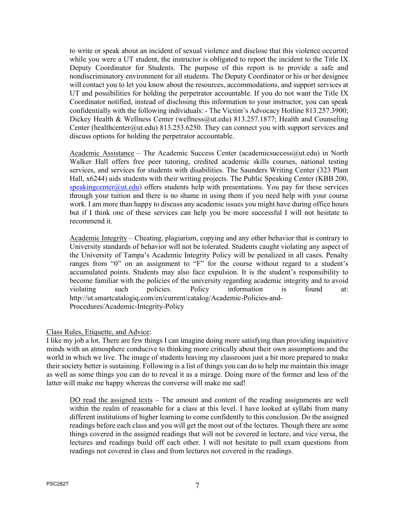to write or speak about an incident of sexual violence and disclose that this violence occurred while you were a UT student, the instructor is obligated to report the incident to the Title IX Deputy Coordinator for Students. The purpose of this report is to provide a safe and nondiscriminatory environment for all students. The Deputy Coordinator or his or her designee will contact you to let you know about the resources, accommodations, and support services at UT and possibilities for holding the perpetrator accountable. If you do not want the Title IX Coordinator notified, instead of disclosing this information to your instructor, you can speak confidentially with the following individuals: - The Victim's Advocacy Hotline 813.257.3900; Dickey Health & Wellness Center (wellness@ut.edu) 813.257.1877; Health and Counseling Center (healthcenter@ut.edu) 813.253.6250. They can connect you with support services and discuss options for holding the perpetrator accountable.

Academic Assistance – The Academic Success Center (academicsuccess $@ut$ edu) in North Walker Hall offers free peer tutoring, credited academic skills courses, national testing services, and services for students with disabilities. The Saunders Writing Center (323 Plant Hall, x6244) aids students with their writing projects. The Public Speaking Center (KBB 200, speakingcenter@ut.edu) offers students help with presentations. You pay for these services through your tuition and there is no shame in using them if you need help with your course work. I am more than happy to discuss any academic issues you might have during office hours but if I think one of these services can help you be more successful I will not hesitate to recommend it.

Academic Integrity – Cheating, plagiarism, copying and any other behavior that is contrary to University standards of behavior will not be tolerated. Students caught violating any aspect of the University of Tampa's Academic Integrity Policy will be penalized in all cases. Penalty ranges from "0" on an assignment to "F" for the course without regard to a student's accumulated points. Students may also face expulsion. It is the student's responsibility to become familiar with the policies of the university regarding academic integrity and to avoid violating such policies. Policy information is found at: http://ut.smartcatalogiq.com/en/current/catalog/Academic-Policies-and-Procedures/Academic-Integrity-Policy

Class Rules, Etiquette, and Advice:

I like my job a lot. There are few things I can imagine doing more satisfying than providing inquisitive minds with an atmosphere conducive to thinking more critically about their own assumptions and the world in which we live. The image of students leaving my classroom just a bit more prepared to make their society better is sustaining. Following is a list of things you can do to help me maintain this image as well as some things you can do to reveal it as a mirage. Doing more of the former and less of the latter will make me happy whereas the converse will make me sad!

DO read the assigned texts – The amount and content of the reading assignments are well within the realm of reasonable for a class at this level. I have looked at syllabi from many different institutions of higher learning to come confidently to this conclusion. Do the assigned readings before each class and you will get the most out of the lectures. Though there are some things covered in the assigned readings that will not be covered in lecture, and vice versa, the lectures and readings build off each other. I will not hesitate to pull exam questions from readings not covered in class and from lectures not covered in the readings.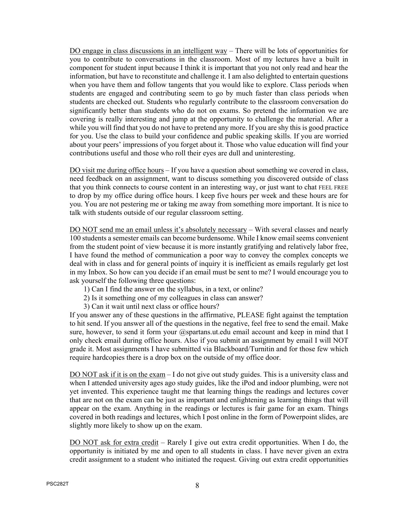DO engage in class discussions in an intelligent way – There will be lots of opportunities for you to contribute to conversations in the classroom. Most of my lectures have a built in component for student input because I think it is important that you not only read and hear the information, but have to reconstitute and challenge it. I am also delighted to entertain questions when you have them and follow tangents that you would like to explore. Class periods when students are engaged and contributing seem to go by much faster than class periods when students are checked out. Students who regularly contribute to the classroom conversation do significantly better than students who do not on exams. So pretend the information we are covering is really interesting and jump at the opportunity to challenge the material. After a while you will find that you do not have to pretend any more. If you are shy this is good practice for you. Use the class to build your confidence and public speaking skills. If you are worried about your peers' impressions of you forget about it. Those who value education will find your contributions useful and those who roll their eyes are dull and uninteresting.

DO visit me during office hours – If you have a question about something we covered in class, need feedback on an assignment, want to discuss something you discovered outside of class that you think connects to course content in an interesting way, or just want to chat FEEL FREE to drop by my office during office hours. I keep five hours per week and these hours are for you. You are not pestering me or taking me away from something more important. It is nice to talk with students outside of our regular classroom setting.

DO NOT send me an email unless it's absolutely necessary – With several classes and nearly 100 students a semester emails can become burdensome. While I know email seems convenient from the student point of view because it is more instantly gratifying and relatively labor free, I have found the method of communication a poor way to convey the complex concepts we deal with in class and for general points of inquiry it is inefficient as emails regularly get lost in my Inbox. So how can you decide if an email must be sent to me? I would encourage you to ask yourself the following three questions:

- 1) Can I find the answer on the syllabus, in a text, or online?
- 2) Is it something one of my colleagues in class can answer?
- 3) Can it wait until next class or office hours?

If you answer any of these questions in the affirmative, PLEASE fight against the temptation to hit send. If you answer all of the questions in the negative, feel free to send the email. Make sure, however, to send it form your  $@$  spartans.ut.edu email account and keep in mind that I only check email during office hours. Also if you submit an assignment by email I will NOT grade it. Most assignments I have submitted via Blackboard/Turnitin and for those few which require hardcopies there is a drop box on the outside of my office door.

DO NOT ask if it is on the exam – I do not give out study guides. This is a university class and when I attended university ages ago study guides, like the iPod and indoor plumbing, were not yet invented. This experience taught me that learning things the readings and lectures cover that are not on the exam can be just as important and enlightening as learning things that will appear on the exam. Anything in the readings or lectures is fair game for an exam. Things covered in both readings and lectures, which I post online in the form of Powerpoint slides, are slightly more likely to show up on the exam.

DO NOT ask for extra credit – Rarely I give out extra credit opportunities. When I do, the opportunity is initiated by me and open to all students in class. I have never given an extra credit assignment to a student who initiated the request. Giving out extra credit opportunities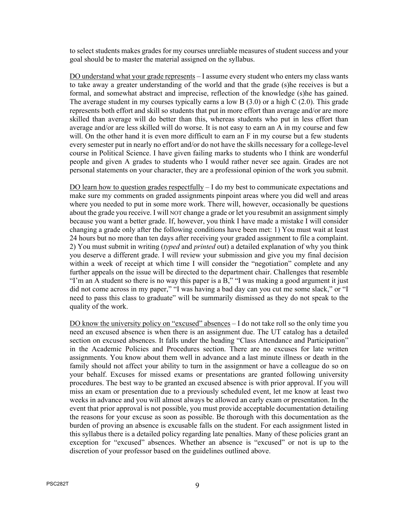to select students makes grades for my courses unreliable measures of student success and your goal should be to master the material assigned on the syllabus.

DO understand what your grade represents – I assume every student who enters my class wants to take away a greater understanding of the world and that the grade (s)he receives is but a formal, and somewhat abstract and imprecise, reflection of the knowledge (s)he has gained. The average student in my courses typically earns a low B  $(3.0)$  or a high C  $(2.0)$ . This grade represents both effort and skill so students that put in more effort than average and/or are more skilled than average will do better than this, whereas students who put in less effort than average and/or are less skilled will do worse. It is not easy to earn an A in my course and few will. On the other hand it is even more difficult to earn an F in my course but a few students every semester put in nearly no effort and/or do not have the skills necessary for a college-level course in Political Science. I have given failing marks to students who I think are wonderful people and given A grades to students who I would rather never see again. Grades are not personal statements on your character, they are a professional opinion of the work you submit.

DO learn how to question grades respectfully – I do my best to communicate expectations and make sure my comments on graded assignments pinpoint areas where you did well and areas where you needed to put in some more work. There will, however, occasionally be questions about the grade you receive. I will NOT change a grade or let you resubmit an assignment simply because you want a better grade. If, however, you think I have made a mistake I will consider changing a grade only after the following conditions have been met: 1) You must wait at least 24 hours but no more than ten days after receiving your graded assignment to file a complaint. 2) You must submit in writing (*typed* and *printed* out) a detailed explanation of why you think you deserve a different grade. I will review your submission and give you my final decision within a week of receipt at which time I will consider the "negotiation" complete and any further appeals on the issue will be directed to the department chair. Challenges that resemble "I'm an A student so there is no way this paper is a B," "I was making a good argument it just did not come across in my paper," "I was having a bad day can you cut me some slack," or "I need to pass this class to graduate" will be summarily dismissed as they do not speak to the quality of the work.

DO know the university policy on "excused" absences – I do not take roll so the only time you need an excused absence is when there is an assignment due. The UT catalog has a detailed section on excused absences. It falls under the heading "Class Attendance and Participation" in the Academic Policies and Procedures section. There are no excuses for late written assignments. You know about them well in advance and a last minute illness or death in the family should not affect your ability to turn in the assignment or have a colleague do so on your behalf. Excuses for missed exams or presentations are granted following university procedures. The best way to be granted an excused absence is with prior approval. If you will miss an exam or presentation due to a previously scheduled event, let me know at least two weeks in advance and you will almost always be allowed an early exam or presentation. In the event that prior approval is not possible, you must provide acceptable documentation detailing the reasons for your excuse as soon as possible. Be thorough with this documentation as the burden of proving an absence is excusable falls on the student. For each assignment listed in this syllabus there is a detailed policy regarding late penalties. Many of these policies grant an exception for "excused" absences. Whether an absence is "excused" or not is up to the discretion of your professor based on the guidelines outlined above.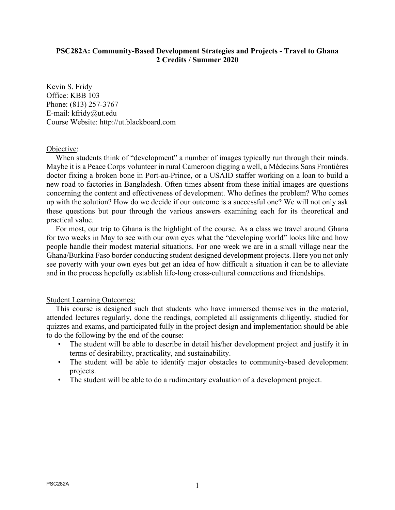## **PSC282A: Community-Based Development Strategies and Projects - Travel to Ghana 2 Credits / Summer 2020**

Kevin S. Fridy Office: KBB 103 Phone: (813) 257-3767 E-mail: kfridy@ut.edu Course Website: http://ut.blackboard.com

#### Objective:

When students think of "development" a number of images typically run through their minds. Maybe it is a Peace Corps volunteer in rural Cameroon digging a well, a Médecins Sans Frontières doctor fixing a broken bone in Port-au-Prince, or a USAID staffer working on a loan to build a new road to factories in Bangladesh. Often times absent from these initial images are questions concerning the content and effectiveness of development. Who defines the problem? Who comes up with the solution? How do we decide if our outcome is a successful one? We will not only ask these questions but pour through the various answers examining each for its theoretical and practical value.

For most, our trip to Ghana is the highlight of the course. As a class we travel around Ghana for two weeks in May to see with our own eyes what the "developing world" looks like and how people handle their modest material situations. For one week we are in a small village near the Ghana/Burkina Faso border conducting student designed development projects. Here you not only see poverty with your own eyes but get an idea of how difficult a situation it can be to alleviate and in the process hopefully establish life-long cross-cultural connections and friendships.

#### Student Learning Outcomes:

This course is designed such that students who have immersed themselves in the material, attended lectures regularly, done the readings, completed all assignments diligently, studied for quizzes and exams, and participated fully in the project design and implementation should be able to do the following by the end of the course:

- The student will be able to describe in detail his/her development project and justify it in terms of desirability, practicality, and sustainability.
- The student will be able to identify major obstacles to community-based development projects.
- The student will be able to do a rudimentary evaluation of a development project.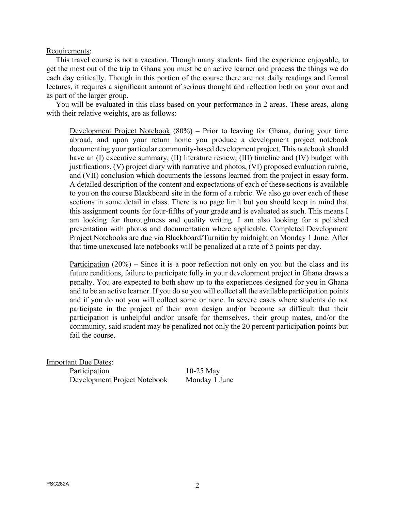### Requirements:

This travel course is not a vacation. Though many students find the experience enjoyable, to get the most out of the trip to Ghana you must be an active learner and process the things we do each day critically. Though in this portion of the course there are not daily readings and formal lectures, it requires a significant amount of serious thought and reflection both on your own and as part of the larger group.

You will be evaluated in this class based on your performance in 2 areas. These areas, along with their relative weights, are as follows:

Development Project Notebook (80%) – Prior to leaving for Ghana, during your time abroad, and upon your return home you produce a development project notebook documenting your particular community-based development project. This notebook should have an (I) executive summary, (II) literature review, (III) timeline and (IV) budget with justifications, (V) project diary with narrative and photos, (VI) proposed evaluation rubric, and (VII) conclusion which documents the lessons learned from the project in essay form. A detailed description of the content and expectations of each of these sections is available to you on the course Blackboard site in the form of a rubric. We also go over each of these sections in some detail in class. There is no page limit but you should keep in mind that this assignment counts for four-fifths of your grade and is evaluated as such. This means I am looking for thoroughness and quality writing. I am also looking for a polished presentation with photos and documentation where applicable. Completed Development Project Notebooks are due via Blackboard/Turnitin by midnight on Monday 1 June. After that time unexcused late notebooks will be penalized at a rate of 5 points per day.

Participation (20%) – Since it is a poor reflection not only on you but the class and its future renditions, failure to participate fully in your development project in Ghana draws a penalty. You are expected to both show up to the experiences designed for you in Ghana and to be an active learner. If you do so you will collect all the available participation points and if you do not you will collect some or none. In severe cases where students do not participate in the project of their own design and/or become so difficult that their participation is unhelpful and/or unsafe for themselves, their group mates, and/or the community, said student may be penalized not only the 20 percent participation points but fail the course.

Important Due Dates:

Participation 10-25 May Development Project Notebook Monday 1 June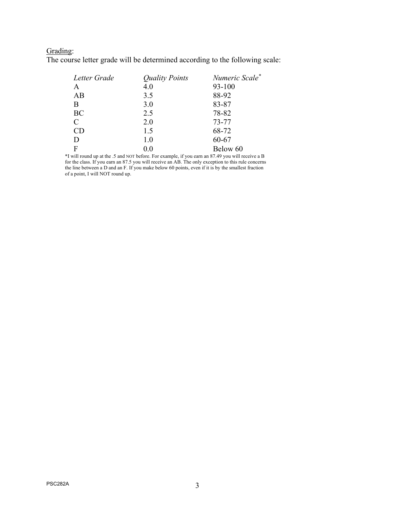# Grading:

The course letter grade will be determined according to the following scale:

| Letter Grade  | <b>Quality Points</b> | Numeric Scale* |
|---------------|-----------------------|----------------|
| A             | 4.0                   | $93 - 100$     |
| AB            | 3.5                   | 88-92          |
| B             | 3.0                   | 83-87          |
| BC            | 2.5                   | 78-82          |
| $\mathcal{C}$ | 2.0                   | 73-77          |
| CD            | 1.5                   | 68-72          |
| D             | 1.0                   | $60 - 67$      |
| $\mathbf{F}$  | $0.0\,$               | Below 60       |

\*I will round up at the .5 and NOT before. For example, if you earn an 87.49 you will receive a B for the class. If you earn an 87.5 you will receive an AB. The only exception to this rule concerns the line between a D and an F. If you make below 60 points, even if it is by the smallest fraction of a point, I will NOT round up.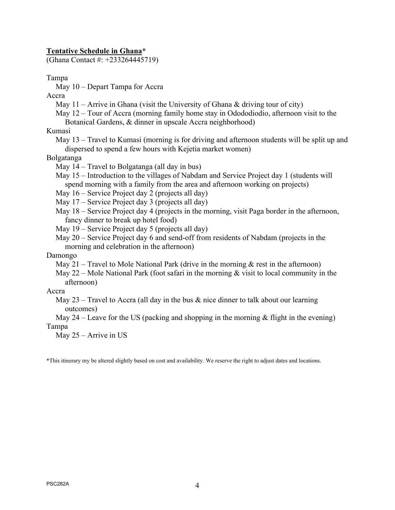# **Tentative Schedule in Ghana\***

(Ghana Contact #: +233264445719)

Tampa

May 10 – Depart Tampa for Accra

Accra

May  $11$  – Arrive in Ghana (visit the University of Ghana & driving tour of city)

May 12 – Tour of Accra (morning family home stay in Odododiodio, afternoon visit to the Botanical Gardens, & dinner in upscale Accra neighborhood)

Kumasi

May 13 – Travel to Kumasi (morning is for driving and afternoon students will be split up and dispersed to spend a few hours with Kejetia market women)

Bolgatanga

May 14 – Travel to Bolgatanga (all day in bus)

May 15 – Introduction to the villages of Nabdam and Service Project day 1 (students will spend morning with a family from the area and afternoon working on projects)

May 16 – Service Project day 2 (projects all day)

May 17 – Service Project day 3 (projects all day)

May 18 – Service Project day 4 (projects in the morning, visit Paga border in the afternoon, fancy dinner to break up hotel food)

May 19 – Service Project day 5 (projects all day)

May 20 – Service Project day 6 and send-off from residents of Nabdam (projects in the morning and celebration in the afternoon)

Damongo

May 21 – Travel to Mole National Park (drive in the morning  $\&$  rest in the afternoon)

May 22 – Mole National Park (foot safari in the morning  $\&$  visit to local community in the afternoon)

Accra

May 23 – Travel to Accra (all day in the bus  $\&$  nice dinner to talk about our learning outcomes)

May 24 – Leave for the US (packing and shopping in the morning  $\&$  flight in the evening) Tampa

May 25 – Arrive in US

\*This itinerary my be altered slightly based on cost and availability. We reserve the right to adjust dates and locations.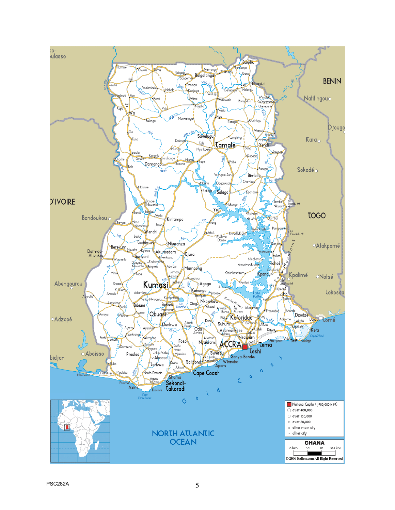